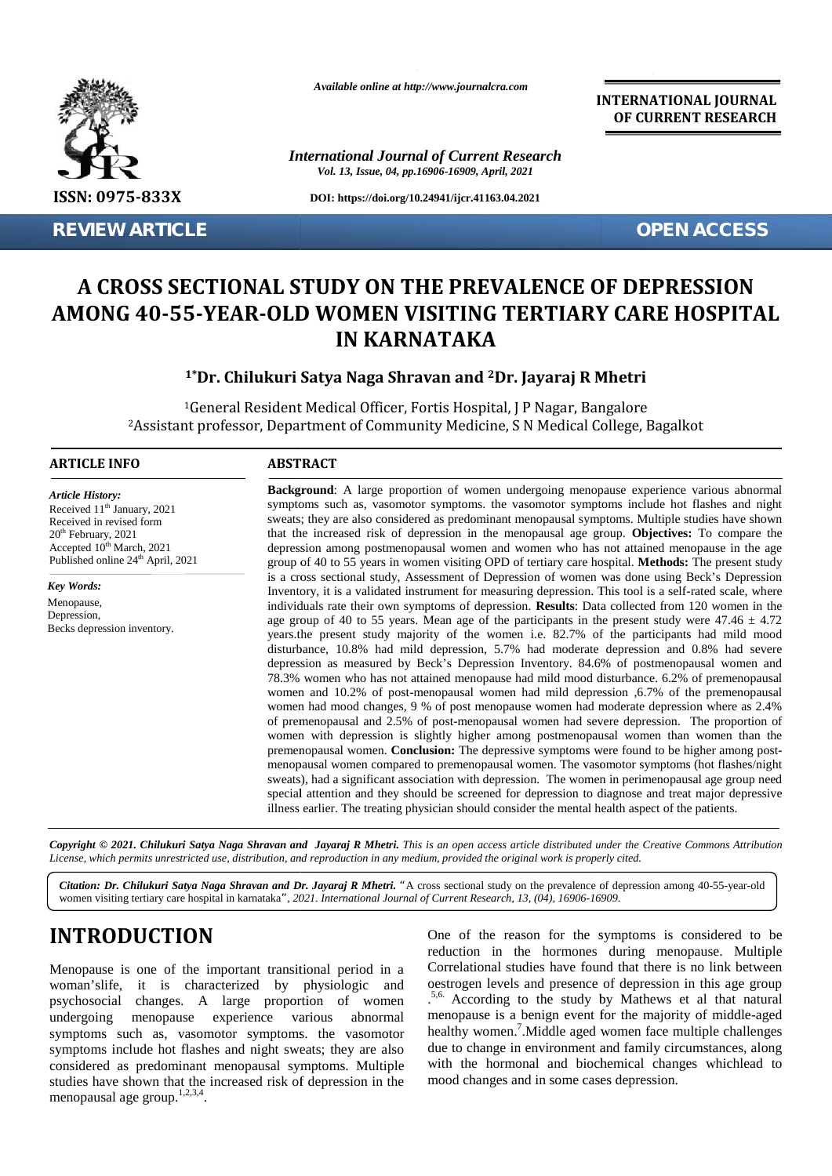

**REVIEW ARTICLE OPEN ACCESS**

*Available online at http://www.journalcra.com*

*International Journal of Current Research Vol. 13, Issue, 04, pp.16906-16909, April, 2021*

**DOI: https://doi.org/10.24941/ijcr.41163.04.2021**

**INTERNATIONAL JOURNAL OF CURRENT RESEARCH**

# A CROSS SECTIONAL STUDY ON THE PREVALENCE OF DEPRESSION<br>10NG 40-55-YEAR-OLD WOMEN VISITING TERTIARY CARE HOSPITAL **AMONG 40-55-YEAR-OLD WOMEN VISITING TERTIARY CARE HOSPITAL IN KARNATAKA A CROSS SEC<br>
AMONG 40-55-1**<br>
<sup>1\*</sup>D<br>
<sup>16</sup><br>
<sup>16</sup><br>
<sup>2</sup>Assistant p<br>
<sup>2</sup>Assistant p<br> **ARTICLE INFO**<br> *Received* 11<sup>th</sup> January, 2021<br>
Received in revised form<br>
20<sup>th</sup> February, 2021<br>
20<sup>th</sup> February, 2021<br>
Rey Words:<br> *Rey Wor*

## **1\*Dr. Chilukuri Satya Naga Shravan and <sup>2</sup>Dr. Jayaraj R Mhetri**

<sup>1</sup>General Resident Medical Officer, Fortis Hospital, J P Nagar, Bangalore <sup>1</sup>General Resident Medical Officer, Fortis Hospital, J P Nagar, Bangalore<br>Assistant professor, Department of Community Medicine, S N Medical College, Bagalkot?

### **ARTICLE INFO ABSTRACT ARTICLE ABSTRACT**

*Article History: Article History:*

Becks depression inventory.

 $20<sup>th</sup>$  February,  $2021$ Accepted  $10^{th}$  March, 2021

*Key Words:* Menopause, Depression,

Received 11 January, 2021<br>Received in revised form

**Background**: A large proportion of women undergoing menopause experience various abnormal symptoms such as, vasomotor symptoms. the vasomotor symptoms include hot flashes and night sweats; they are also considered as predominant menopausal symptoms. Multiple studies have shown that the increased risk of depression in the menopausal age group. **Objectives:** To compare the depression among postmenopausal women and women who has not attained menopause in the age group of 40 to 55 years in women visiting OPD of tertiary care hospital. **Methods:** The present study is a cross sectional study, Assessment of Depression of women was done using Beck's Depression Inventory, it is a validated instrument for measuring depression. This tool is a self-rated scale, where Inventory, it is a validated instrument for measuring depression. This tool is a self-rated scale, where individuals rate their own symptoms of depression. **Results**: Data collected from 120 women in the age group of 40 to 55 years. Mean age of the participants in the present study were  $47.46 \pm 4.72$ years.the present study majority of the women i.e. 82.7% of the participants had mild mood age group of 40 to 55 years. Mean age of the participants in the present study were  $47.46 \pm 4.72$  years.the present study majority of the women i.e. 82.7% of the participants had mild mood disturbance, 10.8% had mild dep depression as measured by Beck's Depression Inventory. 84.6% of postmenopausal women and 78.3% women who has not attained menopause had mild mood disturbance. 6.2% of premenopausal women and 10.2% of post-menopausal women had mild depression ,6.7% of the premenopausal women had mood changes, 9 % of post menopause women had moderate depression where as 2.4% of premenopausal and 2.5% of post-menopausal women had severe depression. The proportion of women with depression is slightly higher among postmenopausal women than women than the premenopausal women. **Conclusion:** The depressive symptoms were found to be higher among post menopausal women compared to premenopausal women. The vasomotor symptoms (hot flashes/night sweats), had a significant association with depression. The women in perimenopausal age group need special attention and they should be screened for depression to diagnose and treat major depressive illness earlier. The treating physician should consider the mental health aspect of the patients. Received  $11<sup>th</sup>$  January, 2021  $20<sup>th</sup>$  February,  $2021$ Accepted  $10^{th}$  March,  $2021$  d Published online  $24<sup>th</sup>$  April, 2021 **Background**: A large proportion of women undergoing menopause experience various abnormal symptoms such as, vasomotor symptoms. the vasomotor symptoms include hot flashes and night sweats; they are also considered as pred 78.3% women who has not attained menopause had mild mood disturbance. 6.2% of premenop<br>women and 10.2% of post-menopausal women had mild depression ,6.7% of the premenop<br>women had mood changes, 9 % of post menopause women Reserved 17 Framery, 2013). Symptoms such as a symptoms hot considered studies have in menopous significations and a symptoms hot considered study of the symptoms hot considered studies have a symptoms hot considered stud *Citation:* Standard 119 **Example** Symptoms such as, vasononor symptoms in the menopology and the lines and <br>received in revised form<br> $\theta^2$  Peology, 2021<br> *Citation: Dr. Citation:* Benessed risk of depression in the menop <sup>1</sup>\***Dr. Chilukuri Satya Naga Shravan and <sup>2</sup>Dr. Jayaraj R Mhetri**<br><sup>1</sup>General Resident Medical Officer, Fortis Hospital, J P Nagar, Bangalore<br><sup>2</sup>Assistant professor, Department of Community Medicine, S N Medical College, B

Copyright © 2021. Chilukuri Satya Naga Shravan and Jayaraj R Mhetri. This is an open access article distributed under the Creative Commons Attribution License, which permits unrestricted use, distribution, and reproduction in any medium, provided the original work is properly cited.

*Citation: Dr. Chilukuri Satya Naga Shravan and Dr. Jayaraj R Mhetri. "*A cross sectional study on the prevalence of depression among 40-55-year-old women visiting tertiary care hospital in karnataka*", 2021. International Journal of Current Research, 13, (04), 16906-16909.*

# **INTRODUCTION INTRODUCTION**

Menopause is one of the important transitional period in a Cor woman'slife, it is characterized by physiologic and oestr psychosocial changes. A large proportion of women psychosocial changes. A large proportion of women .<br>
undergoing menopause experience various abnormal r symptoms such as, vasomotor symptoms. the vasomotor symptoms include hot flashes and night sweats; they are also considered as predominant menopausal symptoms. Multiple studies have shown that the increased risk of depression in the menopausal age group.<sup>1,2,3,4</sup>.

One of the reason for the symptoms is considered to be reduction in the hormones during menopause. Multiple Correlational studies have found that there is no link between oestrogen levels and presence of depression in this age group .5,6. According to the study by Mathews et al that natural menopause is a benign event for the majority of middle-aged healthy women.<sup>7</sup>. Middle aged women face multiple challenges due to change in environment and family circumstances, along with the hormonal and biochemical changes whichlead to mood changes and in some cases depression.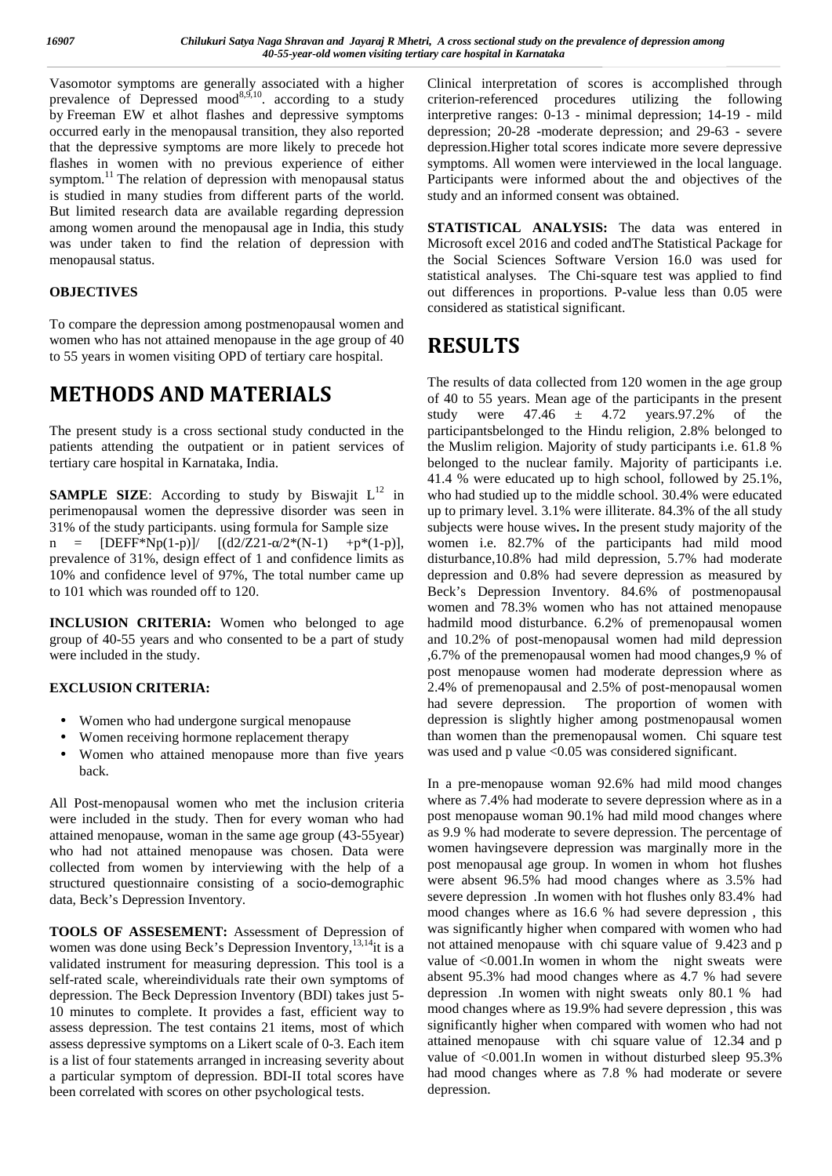Vasomotor symptoms are generally associated with a higher prevalence of Depressed mood $8,9,10$ . according to a study criter by Freeman EW et alhot flashes and depressive symptoms occurred early in the menopausal transition, they also reported that the depressive symptoms are more likely to precede hot flashes in women with no previous experience of either symptom. $^{11}$  The relation of depression with menopausal status is studied in many studies from different parts of the world. But limited research data are available regarding depression among women around the menopausal age in India, this study was under taken to find the relation of depression with menopausal status.

### **OBJECTIVES**

To compare the depression among postmenopausal women and women who has not attained menopause in the age group of 40 to 55 years in women visiting OPD of tertiary care hospital.

# **METHODS AND MATERIALS**

The present study is a cross sectional study conducted in the patients attending the outpatient or in patient services of tertiary care hospital in Karnataka, India.

**SAMPLE SIZE:** According to study by Biswajit  $L^{12}$  in perimenopausal women the depressive disorder was seen in 31% of the study participants. using formula for Sample size n =  $[DEF*Np(1-p)]/ [(d2/Z21 - /2*(N-1) +p*(1-p)],$ prevalence of 31%, design effect of 1 and confidence limits as 10% and confidence level of 97%, The total number came up to 101 which was rounded off to 120.

**INCLUSION CRITERIA:** Women who belonged to age group of 40-55 years and who consented to be a part of study were included in the study.

### **EXCLUSION CRITERIA:**

- Women who had undergone surgical menopause
- Women receiving hormone replacement therapy
- Women who attained menopause more than five years back.

All Post-menopausal women who met the inclusion criteria were included in the study. Then for every woman who had attained menopause, woman in the same age group (43-55year) who had not attained menopause was chosen. Data were collected from women by interviewing with the help of a structured questionnaire consisting of a socio-demographic data, Beck's Depression Inventory.

**TOOLS OF ASSESEMENT:** Assessment of Depression of women was done using Beck's Depression Inventory,<sup>13,14</sup>it is a validated instrument for measuring depression. This tool is a self-rated scale, whereindividuals rate their own symptoms of depression. The Beck Depression Inventory (BDI) takes just 5- 10 minutes to complete. It provides a fast, efficient way to assess depression. The test contains 21 items, most of which assess depressive symptoms on a Likert scale of 0-3. Each item is a list of four statements arranged in increasing severity about a particular symptom of depression. BDI-II total scores have been correlated with scores on other psychological tests.

Clinical interpretation of scores is accomplished through criterion-referenced procedures utilizing the following interpretive ranges: 0-13 - minimal depression; 14-19 - mild depression; 20-28 -moderate depression; and 29-63 - severe depression.Higher total scores indicate more severe depressive symptoms. All women were interviewed in the local language. Participants were informed about the and objectives of the study and an informed consent was obtained.

**STATISTICAL ANALYSIS:** The data was entered in Microsoft excel 2016 and coded andThe Statistical Package for the Social Sciences Software Version 16.0 was used for statistical analyses. The Chi-square test was applied to find out differences in proportions. P-value less than 0.05 were considered as statistical significant.

# **RESULTS**

The results of data collected from 120 women in the age group of 40 to 55 years. Mean age of the participants in the present study were  $47.46 \pm 4.72$  years. 97.2% of the participantsbelonged to the Hindu religion, 2.8% belonged to the Muslim religion. Majority of study participants i.e. 61.8 % belonged to the nuclear family. Majority of participants i.e. 41.4 % were educated up to high school, followed by 25.1%, who had studied up to the middle school. 30.4% were educated up to primary level. 3.1% were illiterate. 84.3% of the all study subjects were house wives**.** In the present study majority of the women i.e. 82.7% of the participants had mild mood disturbance,10.8% had mild depression, 5.7% had moderate depression and 0.8% had severe depression as measured by Beck's Depression Inventory. 84.6% of postmenopausal women and 78.3% women who has not attained menopause hadmild mood disturbance. 6.2% of premenopausal women and 10.2% of post-menopausal women had mild depression ,6.7% of the premenopausal women had mood changes,9 % of post menopause women had moderate depression where as 2.4% of premenopausal and 2.5% of post-menopausal women had severe depression. The proportion of women with depression is slightly higher among postmenopausal women than women than the premenopausal women. Chi square test was used and p value <0.05 was considered significant.

In a pre-menopause woman 92.6% had mild mood changes where as 7.4% had moderate to severe depression where as in a post menopause woman 90.1% had mild mood changes where as 9.9 % had moderate to severe depression. The percentage of women havingsevere depression was marginally more in the post menopausal age group. In women in whom hot flushes were absent 96.5% had mood changes where as 3.5% had severe depression .In women with hot flushes only 83.4% had mood changes where as 16.6 % had severe depression , this was significantly higher when compared with women who had not attained menopause with chi square value of 9.423 and p value of  $\leq 0.001$ . In women in whom the night sweats were absent 95.3% had mood changes where as 4.7 % had severe depression .In women with night sweats only 80.1 % had mood changes where as 19.9% had severe depression , this was significantly higher when compared with women who had not attained menopause with chi square value of 12.34 and p value of <0.001.In women in without disturbed sleep 95.3% had mood changes where as 7.8 % had moderate or severe depression.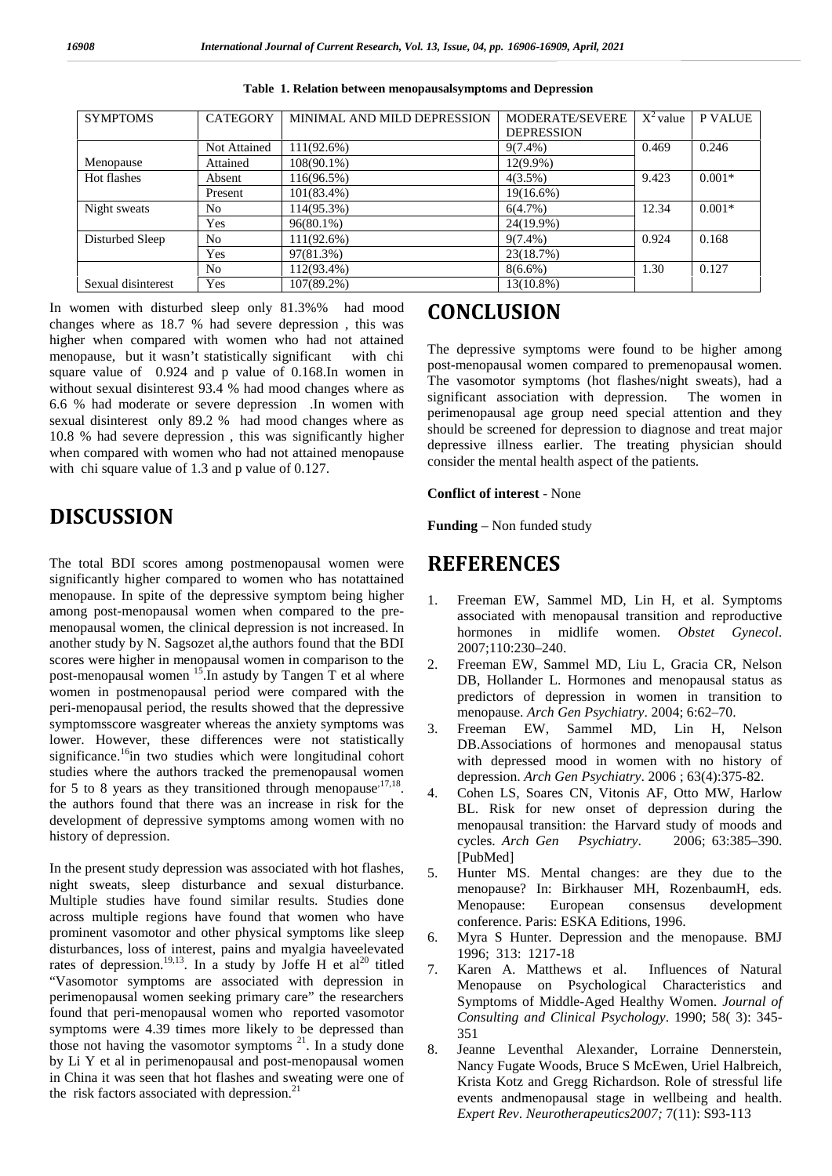| <b>SYMPTOMS</b>    | <b>CATEGORY</b> | MINIMAL AND MILD DEPRESSION | MODERATE/SEVERE   | $X^2$ value | <b>P VALUE</b> |
|--------------------|-----------------|-----------------------------|-------------------|-------------|----------------|
|                    |                 |                             | <b>DEPRESSION</b> |             |                |
|                    | Not Attained    | $111(92.6\%)$               | $9(7.4\%)$        | 0.469       | 0.246          |
| Menopause          | Attained        | $108(90.1\%)$               | $12(9.9\%)$       |             |                |
| Hot flashes        | Absent          | 116(96.5%)                  | $4(3.5\%)$        | 9.423       | $0.001*$       |
|                    | Present         | $101(83.4\%)$               | $19(16.6\%)$      |             |                |
| Night sweats       | No              | 114(95.3%)                  | 6(4.7%)           | 12.34       | $0.001*$       |
|                    | Yes             | $96(80.1\%)$                | 24(19.9%)         |             |                |
| Disturbed Sleep    | N <sub>0</sub>  | $111(92.6\%)$               | $9(7.4\%)$        | 0.924       | 0.168          |
|                    | Yes             | 97(81.3%)                   | 23(18.7%)         |             |                |
|                    | No              | $112(93.4\%)$               | $8(6.6\%)$        | 1.30        | 0.127          |
| Sexual disinterest | Yes             | $107(89.2\%)$               | $13(10.8\%)$      |             |                |

**Table 1. Relation between menopausalsymptoms and Depression**

In women with disturbed sleep only 81.3%% had mood changes where as 18.7 % had severe depression , this was higher when compared with women who had not attained menopause, but it wasn't statistically significant with chi square value of 0.924 and p value of 0.168.In women in without sexual disinterest 93.4 % had mood changes where as 6.6 % had moderate or severe depression .In women with sexual disinterest only 89.2 % had mood changes where as 10.8 % had severe depression , this was significantly higher when compared with women who had not attained menopause with chi square value of 1.3 and p value of 0.127.

# **DISCUSSION**

The total BDI scores among postmenopausal women were significantly higher compared to women who has notattained menopause. In spite of the depressive symptom being higher among post-menopausal women when compared to the pre menopausal women, the clinical depression is not increased. In another study by N. Sagsozet al,the authors found that the BDI scores were higher in menopausal women in comparison to the 2 post-menopausal women <sup>15</sup>.In astudy by Tangen T et al where women in postmenopausal period were compared with the peri-menopausal period, the results showed that the depressive symptomsscore wasgreater whereas the anxiety symptoms was  $\frac{3}{2}$ lower. However, these differences were not statistically significance.<sup>16</sup>in two studies which were longitudinal cohort studies where the authors tracked the premenopausal women for 5 to 8 years as they transitioned through menopause<sup>,17,18</sup>.  $\frac{4}{4}$ the authors found that there was an increase in risk for the development of depressive symptoms among women with no history of depression.

In the present study depression was associated with hot flashes,  $\frac{5}{6}$ night sweats, sleep disturbance and sexual disturbance. Multiple studies have found similar results. Studies done across multiple regions have found that women who have prominent vasomotor and other physical symptoms like sleep 6. disturbances, loss of interest, pains and myalgia haveelevated rates of depression.<sup>19,13</sup>. In a study by Joffe H et al<sup>20</sup> titled  $\tau$ "Vasomotor symptoms are associated with depression in perimenopausal women seeking primary care" the researchers found that peri-menopausal women who reported vasomotor symptoms were 4.39 times more likely to be depressed than those not having the vasomotor symptoms  $2^1$ . In a study done 8 by Li Y et al in perimenopausal and post-menopausal women in China it was seen that hot flashes and sweating were one of the risk factors associated with depression. $^{21}$ 

# **CONCLUSION**

The depressive symptoms were found to be higher among post-menopausal women compared to premenopausal women. The vasomotor symptoms (hot flashes/night sweats), had a significant association with depression. The women in perimenopausal age group need special attention and they should be screened for depression to diagnose and treat major depressive illness earlier. The treating physician should consider the mental health aspect of the patients.

### **Conflict of interest** - None

**Funding** – Non funded study

# **REFERENCES**

- 1. Freeman EW, Sammel MD, Lin H, et al. Symptoms associated with menopausal transition and reproductive hormones in midlife women. *Obstet Gynecol*. 2007;110:230–240.
- 2. Freeman EW, Sammel MD, Liu L, Gracia CR, Nelson DB, Hollander L. Hormones and menopausal status as predictors of depression in women in transition to menopause. *Arch Gen Psychiatry*. 2004; 6:62–70.
- 3. Freeman EW, Sammel MD, Lin H, Nelson DB.Associations of hormones and menopausal status with depressed mood in women with no history of depression. *Arch Gen Psychiatry*. 2006 ; 63(4):375-82.
- 4. Cohen LS, Soares CN, Vitonis AF, Otto MW, Harlow BL. Risk for new onset of depression during the menopausal transition: the Harvard study of moods and cycles. *Arch Gen Psychiatry*. 2006; 63:385–390. [PubMed]
- 5. Hunter MS. Mental changes: are they due to the menopause? In: Birkhauser MH, RozenbaumH, eds. Menopause: European consensus development conference. Paris: ESKA Editions, 1996.
- 6. Myra S Hunter. Depression and the menopause. BMJ 1996; 313: 1217-18
- 7. Karen A. Matthews et al. Influences of Natural Menopause on Psychological Characteristics and Symptoms of Middle-Aged Healthy Women. *Journal of Consulting and Clinical Psychology*. 1990; 58( 3): 345- 351
- 8. Jeanne Leventhal Alexander, Lorraine Dennerstein, Nancy Fugate Woods, Bruce S McEwen, Uriel Halbreich, Krista Kotz and Gregg Richardson. Role of stressful life events andmenopausal stage in wellbeing and health. *Expert Rev*. *Neurotherapeutics2007;* 7(11): S93-113